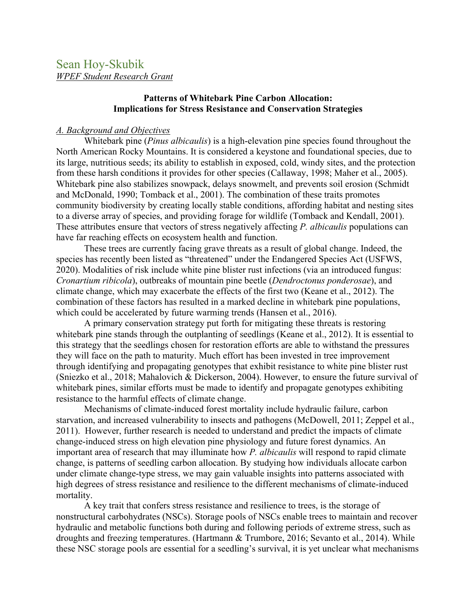# **Patterns of Whitebark Pine Carbon Allocation: Implications for Stress Resistance and Conservation Strategies**

## *A. Background and Objectives*

Whitebark pine (*Pinus albicaulis*) is a high-elevation pine species found throughout the North American Rocky Mountains. It is considered a keystone and foundational species, due to its large, nutritious seeds; its ability to establish in exposed, cold, windy sites, and the protection from these harsh conditions it provides for other species (Callaway, 1998; Maher et al., 2005). Whitebark pine also stabilizes snowpack, delays snowmelt, and prevents soil erosion (Schmidt and McDonald, 1990; Tomback et al., 2001). The combination of these traits promotes community biodiversity by creating locally stable conditions, affording habitat and nesting sites to a diverse array of species, and providing forage for wildlife (Tomback and Kendall, 2001). These attributes ensure that vectors of stress negatively affecting *P. albicaulis* populations can have far reaching effects on ecosystem health and function.

These trees are currently facing grave threats as a result of global change. Indeed, the species has recently been listed as "threatened" under the Endangered Species Act (USFWS, 2020). Modalities of risk include white pine blister rust infections (via an introduced fungus: *Cronartium ribicola*), outbreaks of mountain pine beetle (*Dendroctonus ponderosae*), and climate change, which may exacerbate the effects of the first two (Keane et al., 2012). The combination of these factors has resulted in a marked decline in whitebark pine populations, which could be accelerated by future warming trends (Hansen et al., 2016).

A primary conservation strategy put forth for mitigating these threats is restoring whitebark pine stands through the outplanting of seedlings (Keane et al., 2012). It is essential to this strategy that the seedlings chosen for restoration efforts are able to withstand the pressures they will face on the path to maturity. Much effort has been invested in tree improvement through identifying and propagating genotypes that exhibit resistance to white pine blister rust (Sniezko et al., 2018; Mahalovich & Dickerson, 2004). However, to ensure the future survival of whitebark pines, similar efforts must be made to identify and propagate genotypes exhibiting resistance to the harmful effects of climate change.

Mechanisms of climate-induced forest mortality include hydraulic failure, carbon starvation, and increased vulnerability to insects and pathogens (McDowell, 2011; Zeppel et al., 2011). However, further research is needed to understand and predict the impacts of climate change-induced stress on high elevation pine physiology and future forest dynamics. An important area of research that may illuminate how *P. albicaulis* will respond to rapid climate change, is patterns of seedling carbon allocation. By studying how individuals allocate carbon under climate change-type stress, we may gain valuable insights into patterns associated with high degrees of stress resistance and resilience to the different mechanisms of climate-induced mortality.

A key trait that confers stress resistance and resilience to trees, is the storage of nonstructural carbohydrates (NSCs). Storage pools of NSCs enable trees to maintain and recover hydraulic and metabolic functions both during and following periods of extreme stress, such as droughts and freezing temperatures. (Hartmann & Trumbore, 2016; Sevanto et al., 2014). While these NSC storage pools are essential for a seedling's survival, it is yet unclear what mechanisms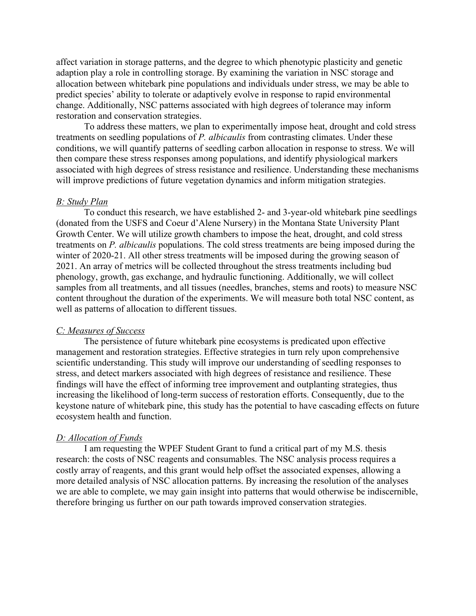affect variation in storage patterns, and the degree to which phenotypic plasticity and genetic adaption play a role in controlling storage. By examining the variation in NSC storage and allocation between whitebark pine populations and individuals under stress, we may be able to predict species' ability to tolerate or adaptively evolve in response to rapid environmental change. Additionally, NSC patterns associated with high degrees of tolerance may inform restoration and conservation strategies.

To address these matters, we plan to experimentally impose heat, drought and cold stress treatments on seedling populations of *P. albicaulis* from contrasting climates. Under these conditions, we will quantify patterns of seedling carbon allocation in response to stress. We will then compare these stress responses among populations, and identify physiological markers associated with high degrees of stress resistance and resilience. Understanding these mechanisms will improve predictions of future vegetation dynamics and inform mitigation strategies.

### *B: Study Plan*

To conduct this research, we have established 2- and 3-year-old whitebark pine seedlings (donated from the USFS and Coeur d'Alene Nursery) in the Montana State University Plant Growth Center. We will utilize growth chambers to impose the heat, drought, and cold stress treatments on *P. albicaulis* populations. The cold stress treatments are being imposed during the winter of 2020-21. All other stress treatments will be imposed during the growing season of 2021. An array of metrics will be collected throughout the stress treatments including bud phenology, growth, gas exchange, and hydraulic functioning. Additionally, we will collect samples from all treatments, and all tissues (needles, branches, stems and roots) to measure NSC content throughout the duration of the experiments. We will measure both total NSC content, as well as patterns of allocation to different tissues.

#### *C: Measures of Success*

The persistence of future whitebark pine ecosystems is predicated upon effective management and restoration strategies. Effective strategies in turn rely upon comprehensive scientific understanding. This study will improve our understanding of seedling responses to stress, and detect markers associated with high degrees of resistance and resilience. These findings will have the effect of informing tree improvement and outplanting strategies, thus increasing the likelihood of long-term success of restoration efforts. Consequently, due to the keystone nature of whitebark pine, this study has the potential to have cascading effects on future ecosystem health and function.

#### *D: Allocation of Funds*

I am requesting the WPEF Student Grant to fund a critical part of my M.S. thesis research: the costs of NSC reagents and consumables. The NSC analysis process requires a costly array of reagents, and this grant would help offset the associated expenses, allowing a more detailed analysis of NSC allocation patterns. By increasing the resolution of the analyses we are able to complete, we may gain insight into patterns that would otherwise be indiscernible, therefore bringing us further on our path towards improved conservation strategies.